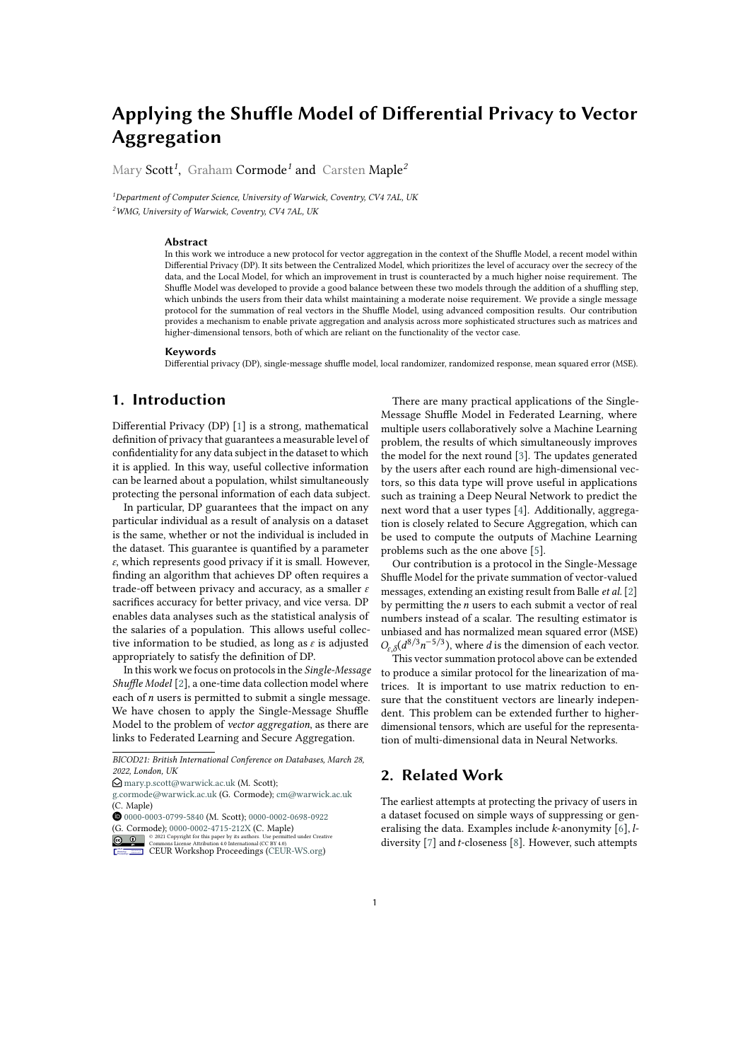# **Applying the Shuffle Model of Differential Privacy to Vector Aggregation**

Mary Scott*<sup>1</sup>* , Graham Cormode*<sup>1</sup>* and Carsten Maple*<sup>2</sup>*

*<sup>1</sup>Department of Computer Science, University of Warwick, Coventry, CV4 7AL, UK <sup>2</sup>WMG, University of Warwick, Coventry, CV4 7AL, UK*

#### **Abstract**

In this work we introduce a new protocol for vector aggregation in the context of the Shuffle Model, a recent model within Differential Privacy (DP). It sits between the Centralized Model, which prioritizes the level of accuracy over the secrecy of the data, and the Local Model, for which an improvement in trust is counteracted by a much higher noise requirement. The Shuffle Model was developed to provide a good balance between these two models through the addition of a shuffling step, which unbinds the users from their data whilst maintaining a moderate noise requirement. We provide a single message protocol for the summation of real vectors in the Shuffle Model, using advanced composition results. Our contribution provides a mechanism to enable private aggregation and analysis across more sophisticated structures such as matrices and higher-dimensional tensors, both of which are reliant on the functionality of the vector case.

#### **Keywords**

Differential privacy (DP), single-message shuffle model, local randomizer, randomized response, mean squared error (MSE).

# **1. Introduction**

Differential Privacy (DP) [\[1\]](#page-9-0) is a strong, mathematical definition of privacy that guarantees a measurable level of confidentiality for any data subject in the dataset to which it is applied. In this way, useful collective information can be learned about a population, whilst simultaneously protecting the personal information of each data subject.

In particular, DP guarantees that the impact on any particular individual as a result of analysis on a dataset is the same, whether or not the individual is included in the dataset. This guarantee is quantified by a parameter  $\varepsilon$ , which represents good privacy if it is small. However, finding an algorithm that achieves DP often requires a trade-off between privacy and accuracy, as a smaller  $\varepsilon$ sacrifices accuracy for better privacy, and vice versa. DP enables data analyses such as the statistical analysis of the salaries of a population. This allows useful collective information to be studied, as long as  $\varepsilon$  is adjusted appropriately to satisfy the definition of DP.

In this work we focus on protocols in the *Single-Message Shuffle Model* [\[2\]](#page-9-1), a one-time data collection model where each of  $n$  users is permitted to submit a single message. We have chosen to apply the Single-Message Shuffle Model to the problem of *vector aggregation*, as there are links to Federated Learning and Secure Aggregation.

(G. Cormode);  $0000-0002-4715-212X$  (C. Maple)<br>  $\bigcirc \bigcirc \bigcirc \bigcirc \text{ 2021 Copyright for this paper by its authors. Use permitted  
Commons License Attribution 4.0 International (CC BY 4.0).$ © 2021 Copyright for this paper by its authors. Use permitted under Creative Commons License Attribution 4.0 International (CC BY 4.0).

There are many practical applications of the Single-Message Shuffle Model in Federated Learning, where multiple users collaboratively solve a Machine Learning problem, the results of which simultaneously improves the model for the next round [\[3\]](#page-9-2). The updates generated by the users after each round are high-dimensional vectors, so this data type will prove useful in applications such as training a Deep Neural Network to predict the next word that a user types [\[4\]](#page-9-3). Additionally, aggregation is closely related to Secure Aggregation, which can be used to compute the outputs of Machine Learning problems such as the one above [\[5\]](#page-9-4).

Our contribution is a protocol in the Single-Message Shuffle Model for the private summation of vector-valued messages, extending an existing result from Balle *et al.* [\[2\]](#page-9-1) by permitting the  $n$  users to each submit a vector of real numbers instead of a scalar. The resulting estimator is unbiased and has normalized mean squared error (MSE)  $O_{\varepsilon,\delta}(d^{8/3}n^{-5/3})$ , where *d* is the dimension of each vector.

This vector summation protocol above can be extended to produce a similar protocol for the linearization of matrices. It is important to use matrix reduction to ensure that the constituent vectors are linearly independent. This problem can be extended further to higherdimensional tensors, which are useful for the representation of multi-dimensional data in Neural Networks.

### <span id="page-0-0"></span>**2. Related Work**

The earliest attempts at protecting the privacy of users in a dataset focused on simple ways of suppressing or generalising the data. Examples include  $k$ -anonymity  $[6]$ ,  $l$ diversity  $[7]$  and *t*-closeness  $[8]$ . However, such attempts

*BICOD21: British International Conference on Databases, March 28, 2022, London, UK*

 $\bigcirc$  [mary.p.scott@warwick.ac.uk](mailto:mary.p.scott@warwick.ac.uk) (M. Scott);

[g.cormode@warwick.ac.uk](mailto:g.cormode@warwick.ac.uk) (G. Cormode); [cm@warwick.ac.uk](mailto:cm@warwick.ac.uk) (C. Maple)

Orcid [0000-0003-0799-5840](https://orcid.org/0000-0003-0799-5840) (M. Scott); [0000-0002-0698-0922](https://orcid.org/0000-0002-0698-0922)

CEUR Workshop [Proceedings](http://ceur-ws.org) [\(CEUR-WS.org\)](http://ceur-ws.org)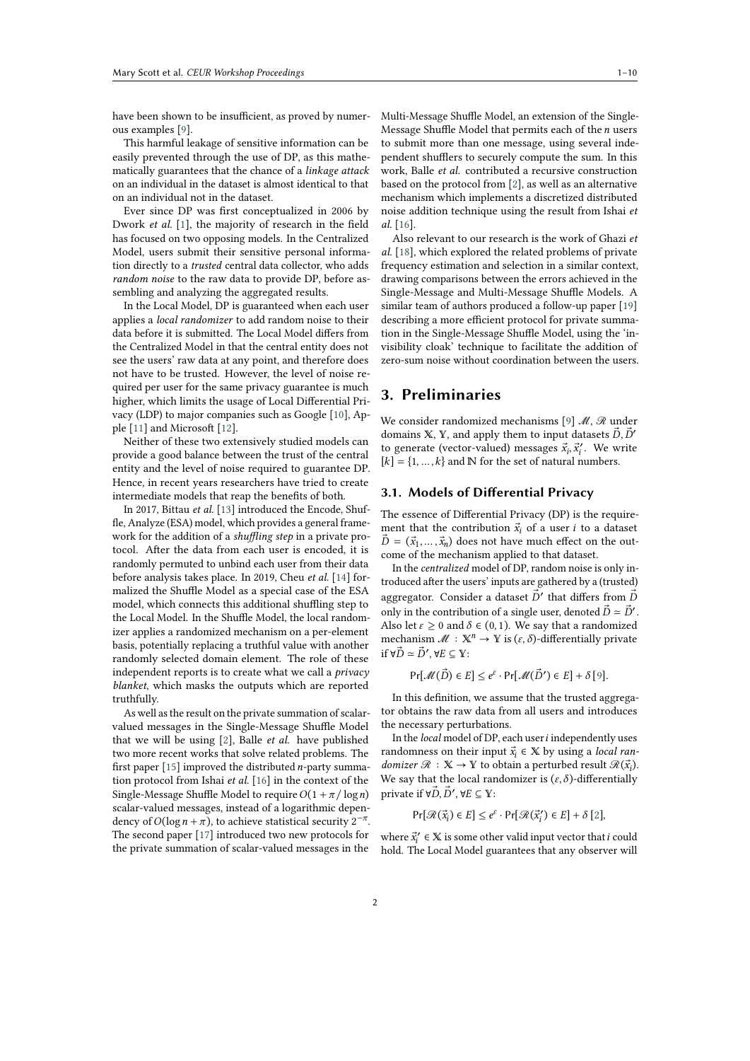have been shown to be insufficient, as proved by numerous examples [\[9\]](#page-9-8).

This harmful leakage of sensitive information can be easily prevented through the use of DP, as this mathematically guarantees that the chance of a *linkage attack* on an individual in the dataset is almost identical to that on an individual not in the dataset.

Ever since DP was first conceptualized in 2006 by Dwork *et al.* [\[1\]](#page-9-0), the majority of research in the field has focused on two opposing models. In the Centralized Model, users submit their sensitive personal information directly to a *trusted* central data collector, who adds *random noise* to the raw data to provide DP, before assembling and analyzing the aggregated results.

In the Local Model, DP is guaranteed when each user applies a *local randomizer* to add random noise to their data before it is submitted. The Local Model differs from the Centralized Model in that the central entity does not see the users' raw data at any point, and therefore does not have to be trusted. However, the level of noise required per user for the same privacy guarantee is much higher, which limits the usage of Local Differential Privacy (LDP) to major companies such as Google [\[10\]](#page-9-9), Apple [\[11\]](#page-9-10) and Microsoft [\[12\]](#page-9-11).

Neither of these two extensively studied models can provide a good balance between the trust of the central entity and the level of noise required to guarantee DP. Hence, in recent years researchers have tried to create intermediate models that reap the benefits of both.

In 2017, Bittau *et al.* [\[13\]](#page-9-12) introduced the Encode, Shuffle, Analyze (ESA) model, which provides a general framework for the addition of a *shuffling step* in a private protocol. After the data from each user is encoded, it is randomly permuted to unbind each user from their data before analysis takes place. In 2019, Cheu *et al.* [\[14\]](#page-9-13) formalized the Shuffle Model as a special case of the ESA model, which connects this additional shuffling step to the Local Model. In the Shuffle Model, the local randomizer applies a randomized mechanism on a per-element basis, potentially replacing a truthful value with another randomly selected domain element. The role of these independent reports is to create what we call a *privacy blanket*, which masks the outputs which are reported truthfully.

As well as the result on the private summation of scalarvalued messages in the Single-Message Shuffle Model that we will be using [\[2\]](#page-9-1), Balle *et al.* have published two more recent works that solve related problems. The first paper [\[15\]](#page-9-14) improved the distributed  $n$ -party summation protocol from Ishai *et al.* [\[16\]](#page-9-15) in the context of the Single-Message Shuffle Model to require  $O(1 + \pi / \log n)$ scalar-valued messages, instead of a logarithmic dependency of  $O(\log n + \pi)$ , to achieve statistical security  $2^{-\pi}$ . The second paper [\[17\]](#page-9-16) introduced two new protocols for the private summation of scalar-valued messages in the Multi-Message Shuffle Model, an extension of the Single-Message Shuffle Model that permits each of the  $n$  users to submit more than one message, using several independent shufflers to securely compute the sum. In this work, Balle *et al.* contributed a recursive construction based on the protocol from [\[2\]](#page-9-1), as well as an alternative mechanism which implements a discretized distributed noise addition technique using the result from Ishai *et al.* [\[16\]](#page-9-15).

Also relevant to our research is the work of Ghazi *et al.* [\[18\]](#page-9-17), which explored the related problems of private frequency estimation and selection in a similar context, drawing comparisons between the errors achieved in the Single-Message and Multi-Message Shuffle Models. A similar team of authors produced a follow-up paper [\[19\]](#page-9-18) describing a more efficient protocol for private summation in the Single-Message Shuffle Model, using the 'invisibility cloak' technique to facilitate the addition of zero-sum noise without coordination between the users.

### **3. Preliminaries**

We consider randomized mechanisms [\[9\]](#page-9-8) ℳ, ℛ under domains X, Y, and apply them to input datasets  $\vec{D}, \vec{D}'$ to generate (vector-valued) messages  $\vec{x}_i$ ,  $\vec{x}'_i$ . We write  $[k] = \{1, ..., k\}$  and N for the set of natural numbers.

### **3.1. Models of Differential Privacy**

The essence of Differential Privacy (DP) is the requirement that the contribution  $\vec{x}_i$  of a user *i* to a dataset  $\vec{D} = (\vec{x}_1, \dots, \vec{x}_n)$  does not have much effect on the outcome of the mechanism applied to that dataset.

In the *centralized* model of DP, random noise is only introduced after the users' inputs are gathered by a (trusted) aggregator. Consider a dataset  $\vec{D}'$  that differs from  $\vec{D}$ only in the contribution of a single user, denoted  $\vec{D} \approx \vec{D}'$ . Also let  $\varepsilon \ge 0$  and  $\delta \in (0, 1)$ . We say that a randomized mechanism  $\mathcal{M} : \mathbb{X}^n \to \mathbb{Y}$  is  $(\varepsilon, \delta)$ -differentially private if  $\forall \vec{D} \simeq \vec{D}'$ ,  $\forall E \subseteq \mathbb{Y}$ :

$$
\Pr[\mathcal{M}(\vec{D}) \in E] \le e^{\varepsilon} \cdot \Pr[\mathcal{M}(\vec{D}') \in E] + \delta[9].
$$

In this definition, we assume that the trusted aggregator obtains the raw data from all users and introduces the necessary perturbations.

In the *local* model of DP, each user *i* independently uses randomness on their input  $\vec{x}_i \in \mathbb{X}$  by using a *local randomizer*  $\mathcal{R} : \mathbb{X} \to \mathbb{Y}$  to obtain a perturbed result  $\mathcal{R}(\vec{x}_i)$ . We say that the local randomizer is  $(\varepsilon, \delta)$ -differentially private if ∀ $\vec{D}, \vec{D}', \forall E \subseteq \mathbb{Y}$ :

 $Pr[\mathcal{R}(\vec{x}_i) \in E] \leq e^{\varepsilon} \cdot Pr[\mathcal{R}(\vec{x}_i') \in E] + \delta [2],$  $Pr[\mathcal{R}(\vec{x}_i) \in E] \leq e^{\varepsilon} \cdot Pr[\mathcal{R}(\vec{x}_i') \in E] + \delta [2],$  $Pr[\mathcal{R}(\vec{x}_i) \in E] \leq e^{\varepsilon} \cdot Pr[\mathcal{R}(\vec{x}_i') \in E] + \delta [2],$  $Pr[\mathcal{R}(\vec{x}_i) \in E] \leq e^{\varepsilon} \cdot Pr[\mathcal{R}(\vec{x}_i') \in E] + \delta [2],$  $Pr[\mathcal{R}(\vec{x}_i) \in E] \leq e^{\varepsilon} \cdot Pr[\mathcal{R}(\vec{x}_i') \in E] + \delta [2],$ 

where  $\vec{x}_i' \in \mathbb{X}$  is some other valid input vector that  $i$  could hold. The Local Model guarantees that any observer will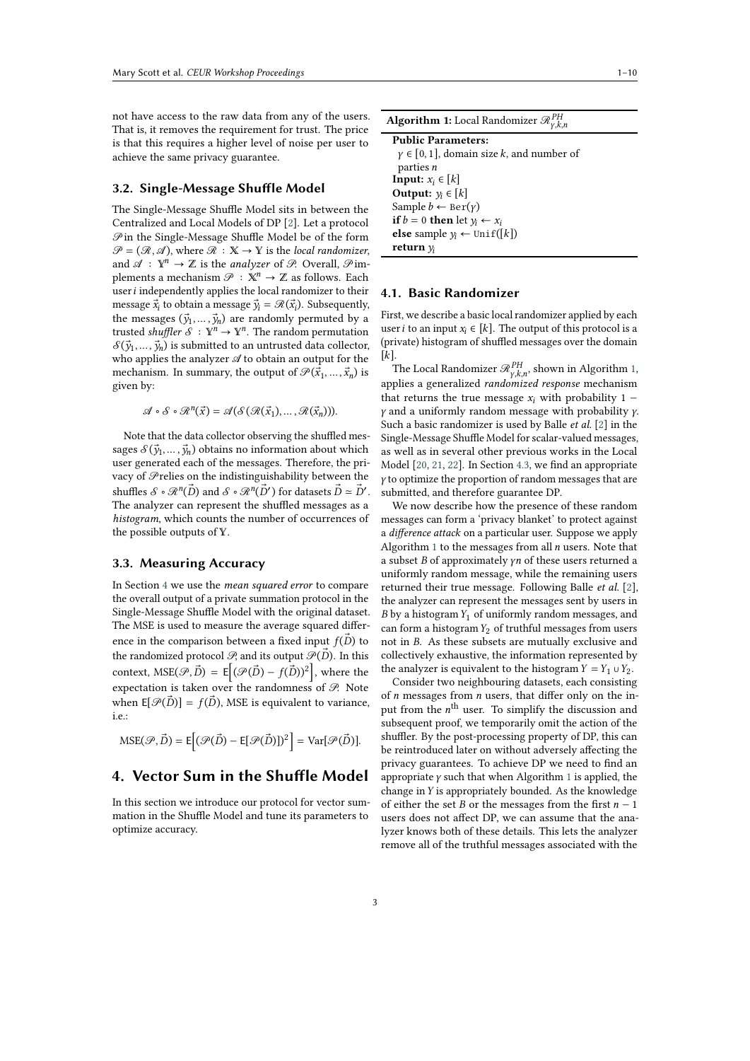not have access to the raw data from any of the users. That is, it removes the requirement for trust. The price is that this requires a higher level of noise per user to achieve the same privacy guarantee.

#### **3.2. Single-Message Shuffle Model**

The Single-Message Shuffle Model sits in between the Centralized and Local Models of DP [\[2\]](#page-9-1). Let a protocol  $\mathscr P$  in the Single-Message Shuffle Model be of the form  $\mathcal{P} = (\mathcal{R}, \mathcal{A})$ , where  $\mathcal{R} : \mathbb{X} \to \mathbb{Y}$  is the *local randomizer*, and  $\mathscr{A}: \mathbb{Y}^n \to \mathbb{Z}$  is the *analyzer* of  $\mathscr{P}$ . Overall,  $\mathscr{P}$ implements a mechanism  $\mathcal{P}: \mathbb{X}^n \to \mathbb{Z}$  as follows. Each user  $i$  independently applies the local randomizer to their message  $\vec{x}_i$  to obtain a message  $\vec{y}_i = \mathcal{R}(\vec{x}_i)$ . Subsequently, the messages  $(\vec{y}_1, \dots, \vec{y}_n)$  are randomly permuted by a trusted *shuffler*  $\mathcal{S} : \mathbb{Y}^n \to \mathbb{Y}^n$ . The random permutation  $\mathcal{S}(\vec{y}_1, \ldots, \vec{y}_n)$  is submitted to an untrusted data collector, who applies the analyzer  ${\mathscr A}$  to obtain an output for the mechanism. In summary, the output of  $\mathscr{P}(\vec{x}_1, \ldots, \vec{x}_n)$  is given by:

 $\mathscr{A} \circ \mathscr{S} \circ \mathscr{R}^n(\vec{x}) = \mathscr{A}(\mathscr{S}(\mathscr{R}(\vec{x}_1), \ldots, \mathscr{R}(\vec{x}_n))).$ 

Note that the data collector observing the shuffled messages  $S(\vec{y}_1, \ldots, \vec{y}_n)$  obtains no information about which user generated each of the messages. Therefore, the privacy of  $\mathscr P$ relies on the indistinguishability between the shuffles  $\mathcal{S} \circ \mathcal{R}^n(\vec{D})$  and  $\mathcal{S} \circ \mathcal{R}^n(\vec{D}')$  for datasets  $\vec{D} \simeq \vec{D}'.$ The analyzer can represent the shuffled messages as a *histogram*, which counts the number of occurrences of the possible outputs of  $Y$ .

#### <span id="page-2-3"></span>**3.3. Measuring Accuracy**

In Section [4](#page-2-0) we use the *mean squared error* to compare the overall output of a private summation protocol in the Single-Message Shuffle Model with the original dataset. The MSE is used to measure the average squared difference in the comparison between a fixed input  $f(\vec{D})$  to the randomized protocol  $\mathcal{P}$ , and its output  $\mathcal{P}(\vec{D})$ . In this context,  $MSE(\mathcal{P}, \vec{D}) = E | (\mathcal{P}(\vec{D}) - f(\vec{D}))^2 |$ , where the expectation is taken over the randomness of  $\mathscr{P}$ . Note when  $E[\mathcal{P}(D)] = f(D)$ , MSE is equivalent to variance, i.e.:

$$
\text{MSE}(\mathcal{P}, \vec{D}) = \mathsf{E}\Big[ (\mathcal{P}(\vec{D}) - \mathsf{E}[\mathcal{P}(\vec{D})])^2 \Big] = \text{Var}[\mathcal{P}(\vec{D})].
$$

### <span id="page-2-0"></span>**4. Vector Sum in the Shuffle Model**

In this section we introduce our protocol for vector summation in the Shuffle Model and tune its parameters to optimize accuracy.

| <b>Algorithm 1:</b> Local Randomizer $\mathcal{R}_{v,k,n}^{PH}$ |
|-----------------------------------------------------------------|
| <b>Public Parameters:</b>                                       |
| $\gamma \in [0, 1]$ , domain size k, and number of              |
| parties <i>n</i>                                                |
| <b>Input:</b> $x_i \in [k]$                                     |
| Output: $y_i \in [k]$                                           |
| Sample $b \leftarrow \text{Ber}(y)$                             |
| <b>if</b> $b = 0$ <b>then</b> let $y_i \leftarrow x_i$          |
| <b>else</b> sample $y_i$ ← Unif([k])                            |
| return $v_i$                                                    |

#### <span id="page-2-2"></span><span id="page-2-1"></span>**4.1. Basic Randomizer**

First, we describe a basic local randomizer applied by each user *i* to an input  $x_i \in [k]$ . The output of this protocol is a (private) histogram of shuffled messages over the domain  $[k]$ .

The Local Randomizer  $\mathscr{R}_{\gamma,k,n}^{PH},$  shown in Algorithm [1,](#page-2-1) applies a generalized *randomized response* mechanism that returns the true message  $x_i$  with probability 1 −  $\gamma$  and a uniformly random message with probability  $\gamma$ . Such a basic randomizer is used by Balle *et al.* [\[2\]](#page-9-1) in the Single-Message Shuffle Model for scalar-valued messages, as well as in several other previous works in the Local Model [\[20,](#page-9-19) [21,](#page-9-20) [22\]](#page-9-21). In Section [4.3,](#page-3-0) we find an appropriate  $y$  to optimize the proportion of random messages that are submitted, and therefore guarantee DP.

We now describe how the presence of these random messages can form a 'privacy blanket' to protect against a *difference attack* on a particular user. Suppose we apply Algorithm [1](#page-2-1) to the messages from all  $n$  users. Note that a subset  $B$  of approximately  $\gamma n$  of these users returned a uniformly random message, while the remaining users returned their true message. Following Balle *et al.* [\[2\]](#page-9-1), the analyzer can represent the messages sent by users in  $B$  by a histogram  $Y_1$  of uniformly random messages, and can form a histogram  $Y_2$  of truthful messages from users not in B. As these subsets are mutually exclusive and collectively exhaustive, the information represented by the analyzer is equivalent to the histogram  $Y = Y_1 \cup Y_2$ .

Consider two neighbouring datasets, each consisting of  $n$  messages from  $n$  users, that differ only on the input from the  $n^{\text{th}}$  user. To simplify the discussion and subsequent proof, we temporarily omit the action of the shuffler. By the post-processing property of DP, this can be reintroduced later on without adversely affecting the privacy guarantees. To achieve DP we need to find an appropriate  $\gamma$  such that when Algorithm [1](#page-2-1) is applied, the change in  $Y$  is appropriately bounded. As the knowledge of either the set  ${\cal B}$  or the messages from the first  $n-1$ users does not affect DP, we can assume that the analyzer knows both of these details. This lets the analyzer remove all of the truthful messages associated with the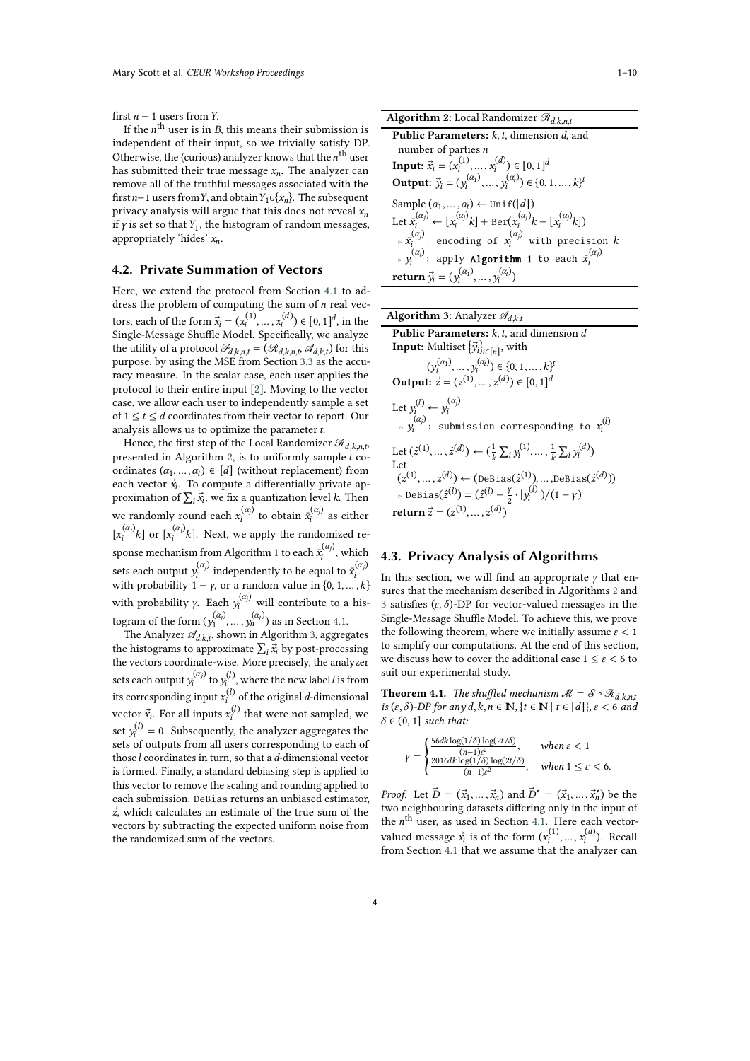first  $n - 1$  users from Y.

If the  $n^{\rm th}$  user is in B, this means their submission is independent of their input, so we trivially satisfy DP. Otherwise, the (curious) analyzer knows that the  $n^{\text{th}}$  user has submitted their true message  $x_n$ . The analyzer can remove all of the truthful messages associated with the first *n*−1 users from *Y*, and obtain  $Y_1 \cup \{x_n\}$ . The subsequent privacy analysis will argue that this does not reveal  $x_n$ if  $\gamma$  is set so that  $Y_1$ , the histogram of random messages, appropriately 'hides'  $x_n$ .

### **4.2. Private Summation of Vectors**

Here, we extend the protocol from Section [4.1](#page-2-2) to address the problem of computing the sum of  $n$  real vectors, each of the form  $\vec{x}_i = (x_i^{(1)}, ..., x_i^{(d)}) \in [0, 1]^d$ , in the Single-Message Shuffle Model. Specifically, we analyze the utility of a protocol  $\mathcal{P}_{d,k,n,t} = (\mathcal{R}_{d,k,n,t}, \mathcal{A}_{d,k,t})$  for this purpose, by using the MSE from Section [3.3](#page-2-3) as the accuracy measure. In the scalar case, each user applies the protocol to their entire input [\[2\]](#page-9-1). Moving to the vector case, we allow each user to independently sample a set of  $1 \le t \le d$  coordinates from their vector to report. Our analysis allows us to optimize the parameter  $t$ .

Hence, the first step of the Local Randomizer  $\mathcal{R}_{d,k,n,t}$ , presented in Algorithm [2,](#page-3-1) is to uniformly sample  $t$  coordinates  $(\alpha_1, ..., \alpha_t) \in [d]$  (without replacement) from each vector  $\vec{x}_i$ . To compute a differentially private approximation of  $\sum_i \vec{x}_i$ , we fix a quantization level k. Then we randomly round each  $x_i^{(\alpha_j)}$  $t_i^{(\alpha_j)}$  to obtain  $\bar{x}_i^{(\alpha_j)}$  $\sum_{i}^{(\alpha_j)}$  as either  $\lfloor x_i^{(\alpha_j)}\rfloor$  $\binom{(\alpha_j)}{i}$ k] or  $\lceil x_i^{(\alpha_j)} \rceil$  $\int_{i}^{(\alpha)} k$ . Next, we apply the randomized re-sponse mechanism from Algorithm [1](#page-2-1) to each  $\bar{x}_i^{(\alpha_j)}$  $\hat{a}^{(\alpha)}$ , which sets each output  $y_i^{(\alpha_j)}$  $\hat{X}_i^{(\alpha_j)}$  independently to be equal to  $\bar{X}_i^{(\alpha_j)}$ sets each output  $y_i$  muepermently to be equal to  $x_i$ <br>with probability 1 –  $\gamma$ , or a random value in  $\{0, 1, ..., k\}$ with probability  $\gamma$ . Each  $y_i^{(\alpha_j)}$  will contribute to a histogram of the form  $(y_1^{(\alpha_j)})$  $\binom{(\alpha_j)}{1}, \ldots, \binom{(\alpha_j)}{n}$  as in Section [4.1.](#page-2-2)

The Analyzer  $\mathscr{A}_{d,k,t}$ , shown in Algorithm [3,](#page-3-2) aggregates the histograms to approximate  $\sum_i \vec{x}_i$  by post-processing the vectors coordinate-wise. More precisely, the analyzer sets each output  $y_i^{(\alpha_j)}$  $\mathbf{y}_i^{(\alpha_j)}$  to  $\mathbf{y}_i^{(l)}$ , where the new label  $l$  is from its corresponding input  $x_i^{(l)}$  of the original *d*-dimensional vector  $\vec{x}_i$ . For all inputs  $x_i^{(l)}$  that were not sampled, we set  $y_i^{(l)} = 0$ . Subsequently, the analyzer aggregates the sets of outputs from all users corresponding to each of those  $l$  coordinates in turn, so that a  $d$ -dimensional vector is formed. Finally, a standard debiasing step is applied to this vector to remove the scaling and rounding applied to each submission. DeBias returns an unbiased estimator,  $\vec{z}$ , which calculates an estimate of the true sum of the vectors by subtracting the expected uniform noise from the randomized sum of the vectors.

| <b>Algorithm 2:</b> Local Randomizer $\mathcal{R}_{d,k,n,t}$                                                               |
|----------------------------------------------------------------------------------------------------------------------------|
| <b>Public Parameters:</b> $k$ , $t$ , dimension $d$ , and                                                                  |
| number of parties $n$                                                                                                      |
| <b>Input:</b> $\vec{x}_i = (x_i^{(1)}, \dots, x_i^{(d)}) \in [0, 1]^d$                                                     |
| <b>Output:</b> $\vec{y}_i = (y_i^{(\alpha_1)}, \dots, y_i^{(\alpha_t)}) \in \{0, 1, \dots, k\}^t$                          |
| Sample $(\alpha_1, , \alpha_t)$ ← Unif([d])                                                                                |
| Let $\bar{x}_i^{(\alpha_j)} \leftarrow [x_i^{(\alpha_j)} k] + \text{Ber}(x_i^{(\alpha_j)} k -  x_i^{(\alpha_j)} k )$       |
| $\bar{\mathbf{x}}_i^{(\alpha_j)}$ : encoding of $\bar{\mathbf{x}}_i^{(\alpha_j)}$ with precision $k$                       |
| ⊳ y; apply <b>Algorithm 1</b> to each $\bar{x}_i^{(\alpha_j)}$ : apply <b>Algorithm 1</b> to each $\bar{x}_i^{(\alpha_j)}$ |
| <b>return</b> $\vec{y}_i = (y_i^{(\alpha_1)}, , y_i^{(\alpha_t)})$                                                         |

<span id="page-3-1"></span>

| <b>Algorithm 3:</b> Analyzer $\mathscr{A}_{d, k, t}$                                                              |
|-------------------------------------------------------------------------------------------------------------------|
| <b>Public Parameters:</b> $k$ , $t$ , and dimension $d$                                                           |
| <b>Input:</b> Multiset $\{\vec{y}_i\}_{i \in [n]}$ , with                                                         |
| $(y_i^{(\alpha_1)}, \ldots, y_i^{(\alpha_t)}) \in \{0, 1, \ldots, k\}^t$                                          |
| <b>Output:</b> $\vec{z} = (z^{(1)}, \dots, z^{(d)}) \in [0, 1]^d$                                                 |
| Let $y_i^{(l)} \leftarrow y_i^{(\alpha_j)}$<br>⊳ $V_i^{(\alpha_j)}$ : submission corresponding to $x_i^{(l)}$     |
| Let $(\hat{z}^{(1)},,\hat{z}^{(d)}) \leftarrow (\frac{1}{k}\sum_i y_i^{(1)},,\frac{1}{k}\sum_i y_i^{(d)})$<br>Let |
| $(z^{(1)},, z^{(d)}) \leftarrow ($ DeBias $(\hat{z}^{(1)}),$ ,DeBias $(\hat{z}^{(d)})$                            |
| ⊳ DeBias $(\hat{z}^{(l)}) = (\hat{z}^{(l)} - \frac{\gamma}{2} \cdot  y_i^{(l)} )/(1 - \gamma)$                    |
| <b>return</b> $\vec{z} = (z^{(1)}, \dots, z^{(d)})$                                                               |

#### <span id="page-3-2"></span><span id="page-3-0"></span>**4.3. Privacy Analysis of Algorithms**

In this section, we will find an appropriate  $\gamma$  that ensures that the mechanism described in Algorithms [2](#page-3-1) and [3](#page-3-2) satisfies  $(\varepsilon, \delta)$ -DP for vector-valued messages in the Single-Message Shuffle Model. To achieve this, we prove the following theorem, where we initially assume  $\varepsilon < 1$ to simplify our computations. At the end of this section, we discuss how to cover the additional case  $1 \le \varepsilon < 6$  to suit our experimental study.

<span id="page-3-3"></span>**Theorem 4.1.** *The shuffled mechanism*  $M = S \circ \mathcal{R}_{d,k,n,t}$ *is*  $(\varepsilon, \delta)$ -*DP* for any  $d, k, n \in \mathbb{N}$ ,  $\{t \in \mathbb{N} \mid t \in [d]\}, \varepsilon < 6$  and  $\delta \in (0, 1]$  *such that:* 

$$
\gamma = \begin{cases} \frac{56d k \log(1/\delta) \log(2t/\delta)}{(n-1)\varepsilon^2}, & when \ \varepsilon < 1\\ \frac{2016d k \log(1/\delta) \log(2t/\delta)}{(n-1)\varepsilon^2}, & when \ 1 \leq \varepsilon < 6. \end{cases}
$$

*Proof.* Let  $\vec{D} = (\vec{x}_1, ..., \vec{x}_n)$  and  $\vec{D}' = (\vec{x}_1, ..., \vec{x}_n')$  be the two neighbouring datasets differing only in the input of the  $n^{\text{th}}$  user, as used in Section [4.1.](#page-2-2) Here each vectorvalued message  $\vec{x}_i$  is of the form  $(x_i^{(1)},...,x_i^{(d)})$ . Recall from Section [4.1](#page-2-2) that we assume that the analyzer can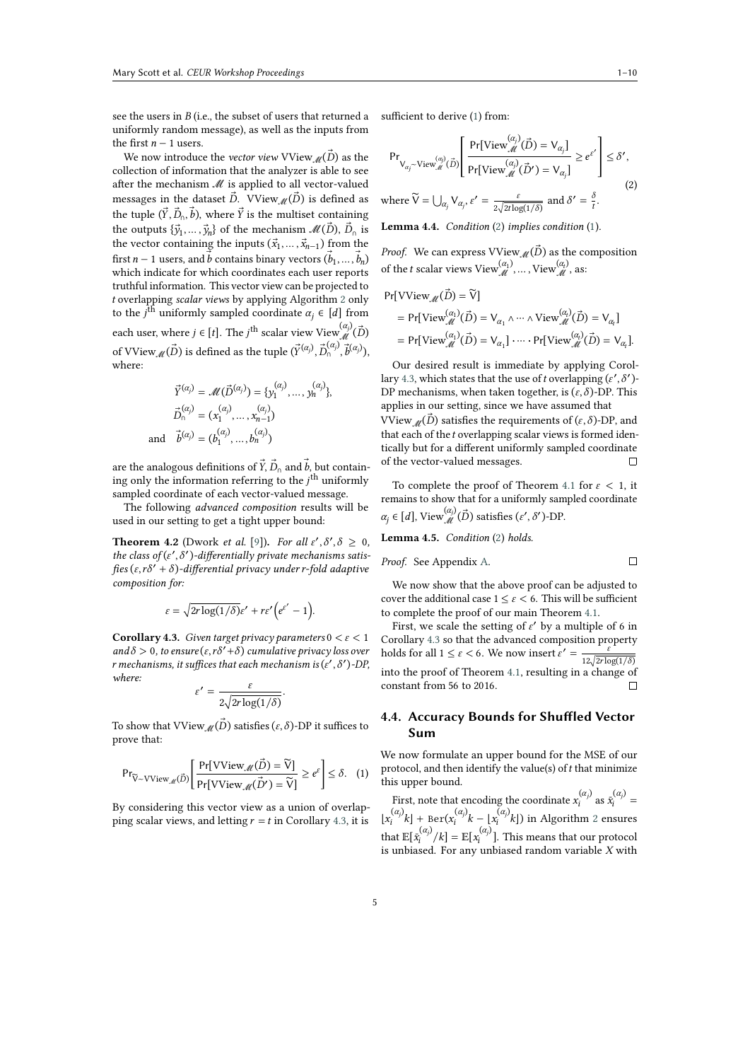see the users in  $B$  (i.e., the subset of users that returned a uniformly random message), as well as the inputs from the first  $n - 1$  users.

We now introduce the *vector view* VView<sub>*M*</sub>( $\vec{D}$ ) as the collection of information that the analyzer is able to see after the mechanism ℳ is applied to all vector-valued messages in the dataset  $\vec{D}$ . VView<sub>*M*</sub>( $\vec{D}$ ) is defined as the tuple  $(\vec{Y}, \vec{D}_0, \vec{b})$ , where  $\vec{Y}$  is the multiset containing the outputs  $\{\vec{y}_1, \ldots, \vec{y}_n\}$  of the mechanism  $\mathcal{M}(\vec{D}), \vec{D}_0$  is the vector containing the inputs  $(\vec{x}_1, \dots, \vec{x}_{n-1})$  from the first  $n-1$  users, and  $\vec{b}$  contains binary vectors  $(\vec{b}_1, ..., \vec{b}_n)$ which indicate for which coordinates each user reports truthful information. This vector view can be projected to overlapping *scalar views* by applying Algorithm [2](#page-3-1) only to the  $j^{\text{th}}$  uniformly sampled coordinate  $\alpha_j \in [d]$  from each user, where  $j \in [t]$ . The  $j^{\text{th}}$  scalar view View  $\overset{(\alpha_j)}{\mathcal{M}}(\vec{D})$ of VView  $_{{\mathscr M}}(\vec{D})$  is defined as the tuple  $(\vec{Y}^{(\alpha_j)},\vec{D}_0^{(\alpha_j)},\vec{b}^{(\alpha_j)}),$ where:

$$
\vec{Y}^{(\alpha_j)} = \mathcal{M}(\vec{D}^{(\alpha_j)}) = \{y_1^{(\alpha_j)}, \dots, y_n^{(\alpha_j)}\},
$$
  

$$
\vec{D}_0^{(\alpha_j)} = (x_1^{(\alpha_j)}, \dots, x_{n-1}^{(\alpha_j)})
$$
  
and 
$$
\vec{b}^{(\alpha_j)} = (b_1^{(\alpha_j)}, \dots, b_n^{(\alpha_j)})
$$

are the analogous definitions of  $\vec{Y}$ ,  $\vec{D}_0$  and  $\vec{b}$ , but containing only the information referring to the  $j<sup>th</sup>$  uniformly sampled coordinate of each vector-valued message.

The following *advanced composition* results will be used in our setting to get a tight upper bound:

**Theorem 4.2** (Dwork *et al.* [\[9\]](#page-9-8)). *For all*  $\varepsilon', \delta', \delta \ge 0$ , the class of  $(\varepsilon', \delta')$ -differentially private mechanisms satis*fies*  $(\varepsilon, r\delta' + \delta)$ -differential privacy under *r*-fold adaptive *composition for:*

$$
\varepsilon = \sqrt{2r \log(1/\delta)} \varepsilon' + r \varepsilon' \Big(e^{\varepsilon'} - 1\Big).
$$

<span id="page-4-0"></span>**Corollary 4.3.** *Given target privacy parameters*  $0 \le \varepsilon \le 1$  $\partial$  *and*  $\delta$  > 0, to ensure ( $\varepsilon$ ,  $r\delta'$  +  $\delta$ ) cumulative privacy loss over *r* mechanisms, it suffices that each mechanism is ( $\varepsilon'$  ,  $\delta'$  )-DP, *where:*

$$
\varepsilon' = \frac{\varepsilon}{2\sqrt{2r\log(1/\delta)}}.
$$

To show that VView<sub></sub> ( $\vec{D}$ ) satisfies ( $\varepsilon$ ,  $\delta$ )-DP it suffices to prove that:

$$
\mathsf{Pr}_{\widetilde{\mathsf{V}} \sim \text{VView}_{\mathcal{M}}(\vec{D})} \left[ \frac{\mathsf{Pr}[\text{VView}_{\mathcal{M}}(\vec{D}) = \widetilde{\mathsf{V}}]}{\mathsf{Pr}[\text{VView}_{\mathcal{M}}(\vec{D}') = \widetilde{\mathsf{V}}]} \ge e^{\varepsilon} \right] \le \delta. \quad (1)
$$

By considering this vector view as a union of overlapping scalar views, and letting  $r = t$  in Corollary [4.3,](#page-4-0) it is

sufficient to derive [\(](#page-4-1)1) from:

<span id="page-4-2"></span>
$$
\Pr_{\mathsf{V}_{\alpha_j} \sim \text{View}_{\mathcal{M}}^{(\alpha_j)}(\vec{D})} \left[ \frac{\Pr[\text{View}_{\mathcal{M}}^{(\alpha_j)}(\vec{D}) = \mathsf{V}_{\alpha_j}]}{\Pr[\text{View}_{\mathcal{M}}^{(\alpha_j)}(\vec{D}') = \mathsf{V}_{\alpha_j}]} \ge e^{\epsilon'} \right] \le \delta',
$$
\n
$$
\text{where } \widetilde{\mathsf{V}} = \bigcup_{\alpha_j} \mathsf{V}_{\alpha_j}, \epsilon' = \frac{\epsilon}{2\sqrt{2t \log(1/\delta)}} \text{ and } \delta' = \frac{\delta}{t}.
$$
\n
$$
(2)
$$

**Lemma 4.4.** *Condition* ([2](#page-4-2)) *implies condition* ([1](#page-4-1))*.*

*Proof.* We can express  $VV$ iew<sub>*M*</sub>( $\vec{D}$ ) as the composition of the *t* scalar views  $View_{\mathcal{M}}^{(\alpha_1)}, ..., View_{\mathcal{M}}^{(\alpha_t)}$ , as:

$$
Pr[VV \text{iew}_{\mathcal{M}}(\vec{D}) = \widetilde{V}]
$$
  
= Pr[View\_{\mathcal{M}}^{(\alpha\_1)}(\vec{D}) = V\_{\alpha\_1} \wedge \cdots \wedge View\_{\mathcal{M}}^{(\alpha\_t)}(\vec{D}) = V\_{\alpha\_t}]  
= Pr[View\_{\mathcal{M}}^{(\alpha\_1)}(\vec{D}) = V\_{\alpha\_1}] \cdots Pr[View\_{\mathcal{M}}^{(\alpha\_t)}(\vec{D}) = V\_{\alpha\_t}].

Our desired result is immediate by applying Corol-lary [4.3,](#page-4-0) which states that the use of *t* overlapping  $(\varepsilon', \delta')$ -DP mechanisms, when taken together, is  $(\varepsilon, \delta)$ -DP. This applies in our setting, since we have assumed that VView  $\mathcal{M}(\vec{D})$  satisfies the requirements of  $(\varepsilon, \delta)$ -DP, and that each of the *t* overlapping scalar views is formed identically but for a different uniformly sampled coordinate of the vector-valued messages.  $\Box$ 

To complete the proof of Theorem [4.1](#page-3-3) for  $\varepsilon$  < 1, it remains to show that for a uniformly sampled coordinate  $\alpha_j \in [d]$ , View $\stackrel{(\alpha_j)}{\mathcal{M}}(\vec{D})$  satisfies  $(\varepsilon', \delta')$ -DP.

<span id="page-4-3"></span>**Lemma 4.5.** *Condition* ([2](#page-4-2)) *holds.*

*Proof.* See Appendix A. 
$$
\Box
$$

We now show that the above proof can be adjusted to cover the additional case  $1 \leq \varepsilon \leq 6$ . This will be sufficient to complete the proof of our main Theorem [4.1.](#page-3-3)

First, we scale the setting of  $\varepsilon'$  by a multiple of 6 in Corollary [4.3](#page-4-0) so that the advanced composition property holds for all  $1 \le \varepsilon < 6$ . We now insert  $\varepsilon' = \frac{1}{\sqrt{15}}$  $12\sqrt{2r\log(1/\delta)}$ into the proof of Theorem [4.1,](#page-3-3) resulting in a change of constant from 56 to 2016.  $\Box$ 

### **4.4. Accuracy Bounds for Shuffled Vector Sum**

<span id="page-4-1"></span>We now formulate an upper bound for the MSE of our protocol, and then identify the value(s) of  $t$  that minimize this upper bound.

First, note that encoding the coordinate  $x_i^{(\alpha_j)}$  $\bar{x}_i^{(\alpha_j)}$  as  $\bar{x}_i^{(\alpha_j)}$  =  $\lfloor x_i^{(\alpha_j)}\rfloor$  $\mathbf{E}_{i}^{(\alpha_{j})}k$ ] + Ber( $\mathbf{x}_{i}^{(\alpha_{j})}$  $\int_i^{(\alpha_j)} k - \lfloor x_i^{(\alpha_j)} \rfloor$  $\mathcal{L}_i^{(x,y)}[k]$  in Algorithm [2](#page-3-1) ensures that  $\mathbb{E}[\bar{x_i}^{(\alpha_j)}]$  $\mathbb{E}[x_i^{(\alpha_j)}/k] = \mathbb{E}[x_i^{(\alpha_j)}]$  $\binom{[x_j]}{i}$ . This means that our protocol is unbiased. For any unbiased random variable  $X$  with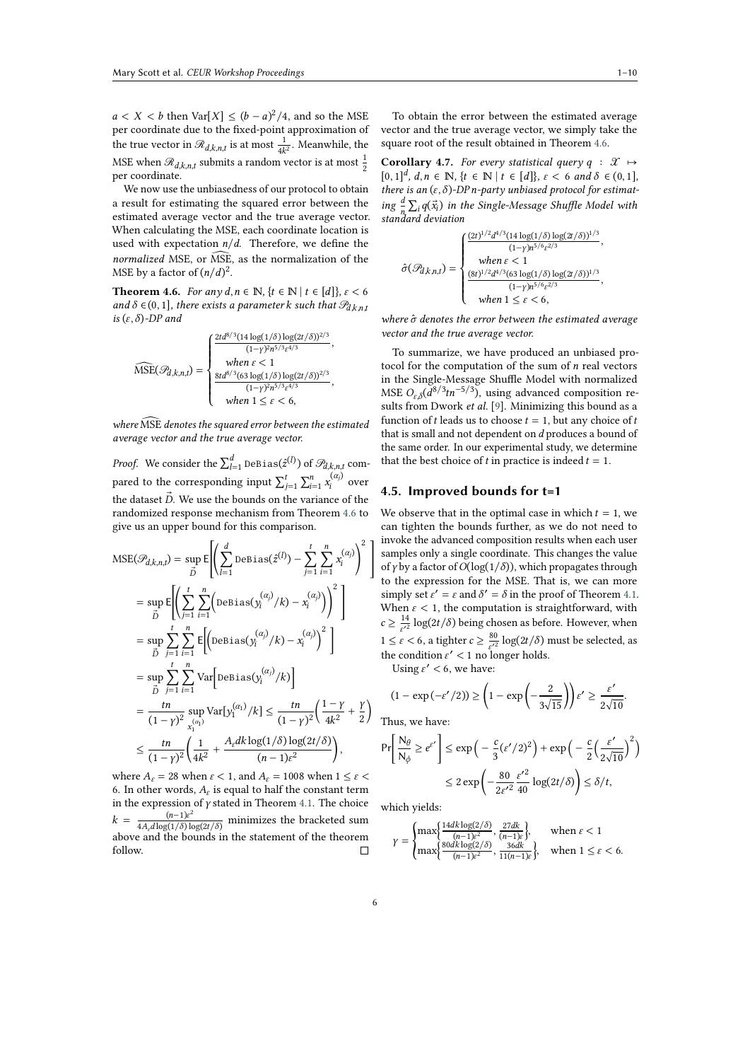$a < X < b$  then Var[X]  $\le (b-a)^2/4$ , and so the MSE per coordinate due to the fixed-point approximation of the true vector in  $\mathcal{R}_{d,k,n,t}$  is at most  $\frac{1}{4k^2}$ . Meanwhile, the MSE when  $\mathcal{R}_{d,k,n,t}$  submits a random vector is at most  $\frac{1}{2}$ per coordinate.

We now use the unbiasedness of our protocol to obtain a result for estimating the squared error between the estimated average vector and the true average vector. When calculating the MSE, each coordinate location is used with expectation  $n/d$ . Therefore, we define the *normalized* MSE, or  $\widehat{\text{MSE}}$ , as the normalization of the MSE by a factor of  $(n/d)^2$ .

<span id="page-5-0"></span>**Theorem 4.6.** *For any*  $d, n \in \mathbb{N}$ ,  $\{t \in \mathbb{N} \mid t \in [d]\}, \varepsilon < 6$ *and*  $\delta \in (0, 1]$ *, there exists a parameter k such that*  $\mathcal{P}_{d,k,n,t}$ *is*  $(\varepsilon, \delta)$ -*DP* and

$$
\widehat{\text{MSE}}(\mathcal{P}_{d,k,n,t}) = \begin{cases} \frac{2td^{8/3}(14\log(1/\delta)\log(2t/\delta))^{2/3}}{(1-\gamma)^2n^{5/3}\epsilon^{4/3}},\\ \text{when } \epsilon < 1\\ \frac{8td^{8/3}(63\log(1/\delta)\log(2t/\delta))^{2/3}}{(1-\gamma)^2n^{5/3}\epsilon^{4/3}},\\ \text{when } 1 \leq \epsilon < 6, \end{cases}
$$

*where* MSE ̂ *denotes the squared error between the estimated average vector and the true average vector.*

*Proof.* We consider the  $\sum_{l=1}^d$  <code>DeBias( $\hat{z}^{(l)}$ )</code> of  $\mathscr{P}_{d,k,n,t}$  compared to the corresponding input  $\sum_{j=1}^{t} \sum_{i=1}^{n} x_i^{(\alpha_j)}$  $\sum_{i=1}^{N}$  over the dataset  $\vec{D}$ . We use the bounds on the variance of the randomized response mechanism from Theorem [4.6](#page-5-0) to give us an upper bound for this comparison.

$$
\begin{split} \text{MSE}(\mathcal{P}_{d,k,n,t}) &= \sup_{\vec{D}} \mathbb{E} \Biggl[ \Biggl( \sum_{l=1}^{d} \text{DeBias}(\hat{z}^{(l)}) - \sum_{j=1}^{t} \sum_{i=1}^{n} x_i^{(a_j)} \Biggr)^2 \Biggr] \\ &= \sup_{\vec{D}} \mathbb{E} \Biggl[ \Biggl( \sum_{j=1}^{t} \sum_{i=1}^{n} \Biggl( \text{DeBias}(y_i^{(a_j)}/k) - x_i^{(a_j)} \Biggr) \Biggr)^2 \Biggr] \\ &= \sup_{\vec{D}} \sum_{j=1}^{t} \sum_{i=1}^{n} \mathbb{E} \Biggl[ \Biggl( \text{DeBias}(y_i^{(a_j)}/k) - x_i^{(a_j)} \Biggr)^2 \Biggr] \\ &= \sup_{\vec{D}} \sum_{j=1}^{t} \sum_{i=1}^{n} \text{Var} \Biggl[ \text{DeBias}(y_i^{(a_j)}/k) \Biggr] \\ &= \frac{tn}{(1-\gamma)^2} \sup_{x_1^{(a_1)}} \text{Var}[y_1^{(a_1)}/k] \le \frac{tn}{(1-\gamma)^2} \Biggl( \frac{1-\gamma}{4k^2} + \frac{\gamma}{2} \Biggr) \\ &\le \frac{tn}{(1-\gamma)^2} \Biggl( \frac{1}{4k^2} + \frac{A_{\varepsilon} dk \log(1/\delta) \log(2t/\delta)}{(n-1)\varepsilon^2} \Biggr), \end{split}
$$

where  $A_{\varepsilon} = 28$  when  $\varepsilon < 1$ , and  $A_{\varepsilon} = 1008$  when  $1 \leq \varepsilon <$ 6. In other words,  $A_\varepsilon$  is equal to half the constant term in the expression of  $\gamma$  stated in Theorem [4.1.](#page-3-3) The choice  $k = \frac{(n-1)e^2}{4A_\ell d \log(1/\delta) \log(2t/\delta)}$  minimizes the bracketed sum above and the bounds in the statement of the theorem follow.  $\Box$ 

To obtain the error between the estimated average vector and the true average vector, we simply take the square root of the result obtained in Theorem [4.6.](#page-5-0)

<span id="page-5-1"></span>**Corollary 4.7.** *For every statistical query*  $q : \mathcal{X} \mapsto$  $[0, 1]^d$ ,  $d, n \in \mathbb{N}$ ,  $\{t \in \mathbb{N} \mid t \in [d]\}, \varepsilon < 6 \text{ and } \delta \in (0, 1],$ *there is an*  $(\varepsilon, \delta)$ -DP *n*-party unbiased protocol for estimat*ing*  $\frac{d}{n} \sum_{i} q(\vec{x}_i)$  *in the Single-Message Shuffle Model with standard deviation*

$$
\hat{\sigma}(\mathcal{P}_{d,k,n,t}) = \begin{cases} \frac{(2t)^{1/2}d^{4/3}(14\log(1/\delta)\log(2t/\delta))^{1/3}}{(1-\gamma)n^{5/6}\varepsilon^{2/3}},\\ \text{ when } \varepsilon < 1\\ \frac{(8t)^{1/2}d^{4/3}(63\log(1/\delta)\log(2t/\delta))^{1/3}}{(1-\gamma)n^{5/6}\varepsilon^{2/3}},\\ \text{ when } 1 \le \varepsilon < 6, \end{cases}
$$

*where*  $\hat{\sigma}$  *denotes the error between the estimated average vector and the true average vector.*

To summarize, we have produced an unbiased protocol for the computation of the sum of  $n$  real vectors in the Single-Message Shuffle Model with normalized MSE  $O_{\varepsilon,\delta}(\tilde{d}^{8/3}tn^{-5/3})$ , using advanced composition results from Dwork *et al.* [\[9\]](#page-9-8). Minimizing this bound as a function of *t* leads us to choose  $t = 1$ , but any choice of *t* that is small and not dependent on  $d$  produces a bound of the same order. In our experimental study, we determine that the best choice of  $t$  in practice is indeed  $t = 1$ .

#### <span id="page-5-2"></span>**4.5. Improved bounds for t=1**

We observe that in the optimal case in which  $t = 1$ , we can tighten the bounds further, as we do not need to invoke the advanced composition results when each user samples only a single coordinate. This changes the value of  $\gamma$  by a factor of  $O(\log(1/\delta))$ , which propagates through to the expression for the MSE. That is, we can more simply set  $\varepsilon' = \varepsilon$  and  $\delta' = \delta$  in the proof of Theorem [4.1.](#page-3-3) When  $\varepsilon$  < 1, the computation is straightforward, with  $c \geq \frac{14}{\epsilon'^2} \log(2t/\delta)$  being chosen as before. However, when  $1 \leq \varepsilon < 6$ , a tighter  $c \geq \frac{80}{\varepsilon'^2} \log(2t/\delta)$  must be selected, as the condition  $\varepsilon' < 1$  no longer holds.

Using  $\varepsilon' < 6$ , we have:

$$
(1 - \exp(-\varepsilon'/2)) \ge \left(1 - \exp\left(-\frac{2}{3\sqrt{15}}\right)\right)\varepsilon' \ge \frac{\varepsilon'}{2\sqrt{10}}.
$$

Thus, we have:

$$
\Pr\left[\frac{N_{\theta}}{N_{\phi}} \ge e^{\varepsilon'}\right] \le \exp\left(-\frac{c}{3}(\varepsilon'/2)^2\right) + \exp\left(-\frac{c}{2}\left(\frac{\varepsilon'}{2\sqrt{10}}\right)^2\right)
$$

$$
\le 2\exp\left(-\frac{80}{2\varepsilon'^2}\frac{\varepsilon'^2}{40}\log(2t/\delta)\right) \le \delta/t,
$$

which yields:

$$
\gamma = \begin{cases} \max\Bigl\{\frac{14dk\log(2/\delta)}{(n-1)\varepsilon^2},\frac{27dk}{(n-1)\varepsilon}\Bigr\}, & \text{when } \varepsilon < 1\\ \max\Bigl\{\frac{80dk\log(2/\delta)}{(n-1)\varepsilon^2},\frac{36dk}{11(n-1)\varepsilon}\Bigr\}, & \text{when } 1 \leq \varepsilon < 6. \end{cases}
$$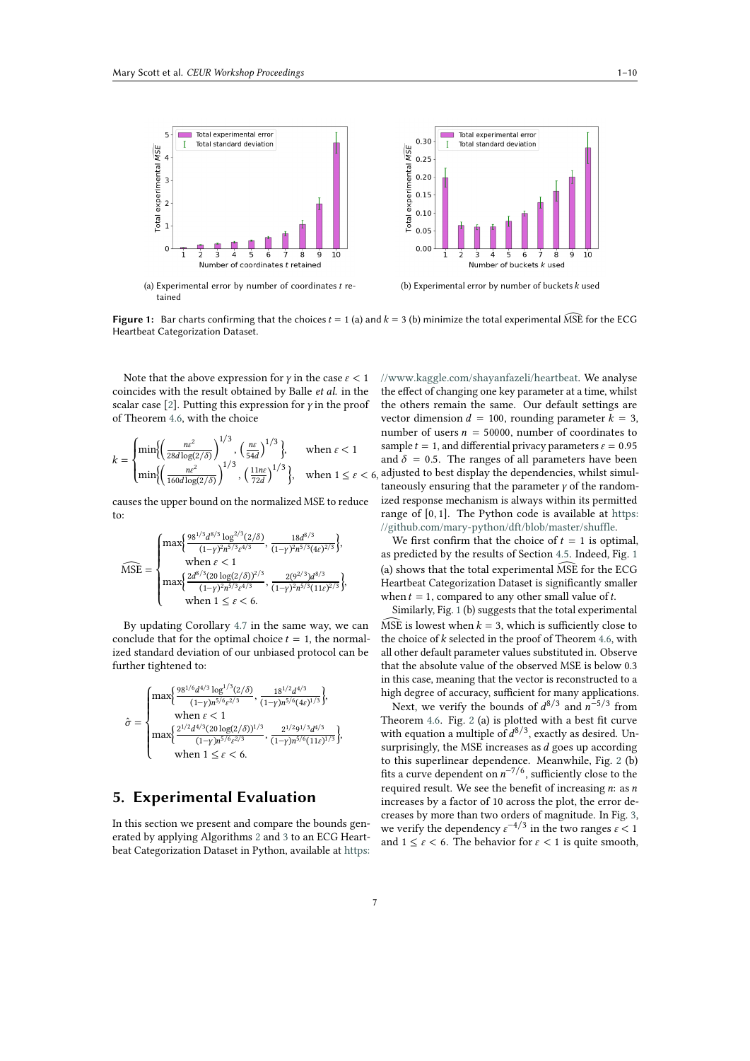

<span id="page-6-0"></span>**Figure 1:** Bar charts confirming that the choices  $t = 1$  (a) and  $k = 3$  (b) minimize the total experimental MSE for the ECG Heartbeat Categorization Dataset.

Note that the above expression for  $\gamma$  in the case  $\varepsilon < 1$ coincides with the result obtained by Balle *et al.* in the scalar case [\[2\]](#page-9-1). Putting this expression for  $\gamma$  in the proof of Theorem [4.6,](#page-5-0) with the choice

$$
k = \begin{cases} \min\left\{ \left( \frac{ne^2}{28d\log(2/\delta)} \right)^{1/3}, \left( \frac{ne}{54d} \right)^{1/3} \right\}, & \text{when } \varepsilon < 1\\ \min\left\{ \left( \frac{ne^2}{160d\log(2/\delta)} \right)^{1/3}, \left( \frac{11ne}{72d} \right)^{1/3} \right\}, & \text{when } 1 \le \varepsilon < 6, \end{cases}
$$

causes the upper bound on the normalized MSE to reduce to:

$$
\widehat{\text{MSE}} = \begin{cases} \max \Bigl\{ \frac{98^{1/3} d^{8/3} \log^{2/3}(2/\delta)}{(1-\gamma)^2 n^{5/3} \epsilon^{4/3}}, \frac{18 d^{8/3}}{(1-\gamma)^2 n^{5/3} (4 \epsilon)^{2/3}} \Bigr\}, \\ \text{when } \epsilon < 1 \\ \max \Bigl\{ \frac{2d^{8/3} (20 \log(2/\delta))^{2/3}}{(1-\gamma)^2 n^{5/3} \epsilon^{4/3}}, \frac{2(9^{2/3}) d^{8/3}}{(1-\gamma)^2 n^{5/3} (11 \epsilon)^{2/3}} \Bigr\}, \\ \text{when } 1 \leq \epsilon < 6. \end{cases}
$$

By updating Corollary [4.7](#page-5-1) in the same way, we can conclude that for the optimal choice  $t = 1$ , the normalized standard deviation of our unbiased protocol can be further tightened to:

$$
\hat{\sigma} = \begin{cases}\max\Bigl\{\frac{98^{1/6}d^{4/3}\log^{1/3}(2/\delta)}{(1-\gamma)n^{5/6}\epsilon^{2/3}},\frac{18^{1/2}d^{4/3}}{(1-\gamma)n^{5/6}(4\epsilon)^{1/3}}\Bigr\},\\ \text{ when } \varepsilon<1\\ \max\Bigl\{\frac{2^{1/2}d^{4/3}(20\log(2/\delta))^{1/3}}{(1-\gamma)n^{5/6}\epsilon^{2/3}},\frac{2^{1/2}9^{1/3}d^{4/3}}{(1-\gamma)n^{5/6}(11\epsilon)^{1/3}}\Bigr\},\\ \text{ when } 1\leq \varepsilon<6.\end{cases}
$$

# **5. Experimental Evaluation**

In this section we present and compare the bounds generated by applying Algorithms [2](#page-3-1) and [3](#page-3-2) to an ECG Heartbeat Categorization Dataset in Python, available at [https:](https://www.kaggle.com/shayanfazeli/heartbeat)

[//www.kaggle.com/shayanfazeli/heartbeat.](https://www.kaggle.com/shayanfazeli/heartbeat) We analyse the effect of changing one key parameter at a time, whilst the others remain the same. Our default settings are vector dimension  $d = 100$ , rounding parameter  $k = 3$ , number of users  $n = 50000$ , number of coordinates to sample  $t = 1$ , and differential privacy parameters  $\varepsilon = 0.95$ and  $\delta = 0.5$ . The ranges of all parameters have been adjusted to best display the dependencies, whilst simultaneously ensuring that the parameter  $\gamma$  of the randomized response mechanism is always within its permitted range of  $[0, 1]$ . The Python code is available at [https:](https://github.com/mary-python/dft/blob/master/shuffle) [//github.com/mary-python/dft/blob/master/shuffle.](https://github.com/mary-python/dft/blob/master/shuffle)

We first confirm that the choice of  $t = 1$  is optimal, as predicted by the results of Section [4.5.](#page-5-2) Indeed, Fig. [1](#page-6-0) (a) shows that the total experimental  $\widehat{\text{MSE}}$  for the ECG Heartbeat Categorization Dataset is significantly smaller when  $t = 1$ , compared to any other small value of  $t$ .

Similarly, Fig. [1](#page-6-0) (b) suggests that the total experimental  $\widehat{\text{MSE}}$  is lowest when  $k = 3$ , which is sufficiently close to the choice of  $k$  selected in the proof of Theorem [4.6,](#page-5-0) with all other default parameter values substituted in. Observe that the absolute value of the observed MSE is below 0.3 in this case, meaning that the vector is reconstructed to a high degree of accuracy, sufficient for many applications.

Next, we verify the bounds of  $d^{8/3}$  and  $n^{-5/3}$  from Theorem [4.6.](#page-5-0) Fig. [2](#page-7-0) (a) is plotted with a best fit curve with equation a multiple of  $d^{8/3}$ , exactly as desired. Unsurprisingly, the MSE increases as  $d$  goes up according to this superlinear dependence. Meanwhile, Fig. [2](#page-7-0) (b) fits a curve dependent on  $n^{-7/6}$ , sufficiently close to the required result. We see the benefit of increasing  $n$ : as  $n$ increases by a factor of 10 across the plot, the error decreases by more than two orders of magnitude. In Fig. [3,](#page-7-1) we verify the dependency  $\varepsilon^{-4/3}$  in the two ranges  $\varepsilon < 1$ and  $1 \leq \varepsilon < 6$ . The behavior for  $\varepsilon < 1$  is quite smooth,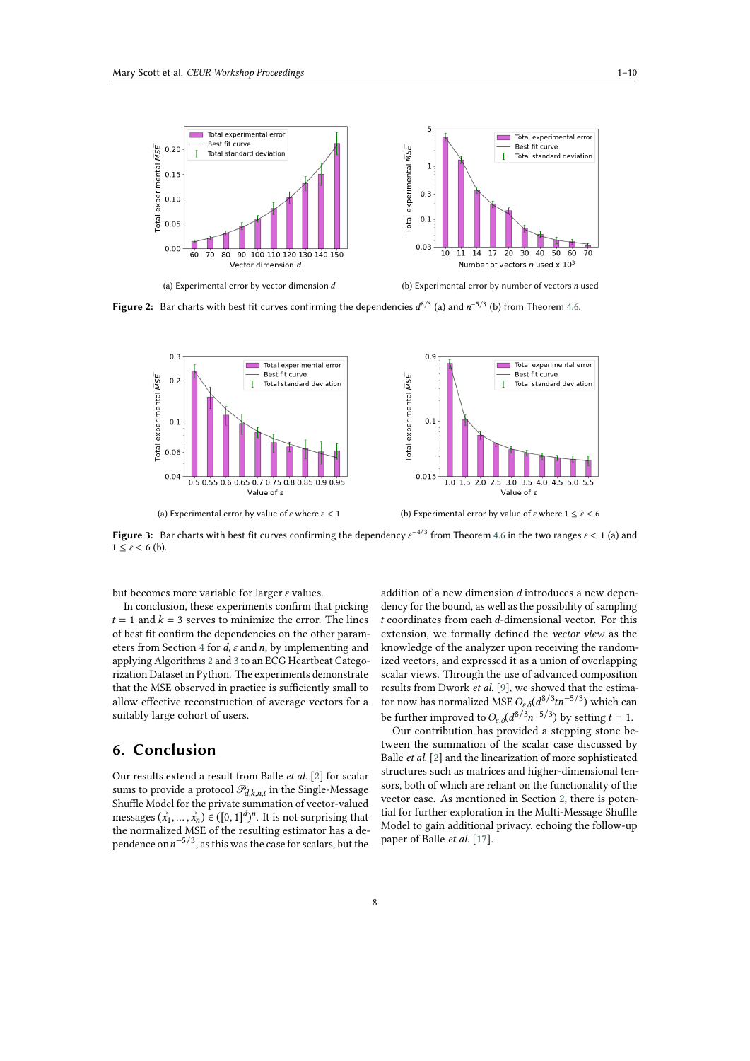

<span id="page-7-0"></span>**Figure 2:** Bar charts with best fit curves confirming the dependencies  $d^{8/3}$  (a) and  $n^{-5/3}$  (b) from Theorem [4.6.](#page-5-0)



<span id="page-7-1"></span>**Figure 3:** Bar charts with best fit curves confirming the dependency  $\varepsilon^{-4/3}$  from Theorem [4.6](#page-5-0) in the two ranges  $\varepsilon$  < 1 (a) and  $1 \leq \varepsilon \leq 6$  (b).

but becomes more variable for larger  $\varepsilon$  values.

In conclusion, these experiments confirm that picking  $t = 1$  and  $k = 3$  serves to minimize the error. The lines of best fit confirm the dependencies on the other param-eters from Section [4](#page-2-0) for  $d$ ,  $\varepsilon$  and  $n$ , by implementing and applying Algorithms [2](#page-3-1) and [3](#page-3-2) to an ECG Heartbeat Categorization Dataset in Python. The experiments demonstrate that the MSE observed in practice is sufficiently small to allow effective reconstruction of average vectors for a suitably large cohort of users.

# **6. Conclusion**

Our results extend a result from Balle *et al.* [\[2\]](#page-9-1) for scalar sums to provide a protocol  $\mathcal{P}_{d,k,n,t}$  in the Single-Message Shuffle Model for the private summation of vector-valued messages  $(\vec{x}_1, \dots, \vec{x}_n) \in ([0, 1]^d)^n$ . It is not surprising that the normalized MSE of the resulting estimator has a dependence on  $n^{-5/3}$ , as this was the case for scalars, but the

addition of a new dimension  $d$  introduces a new dependency for the bound, as well as the possibility of sampling  $t$  coordinates from each  $d$ -dimensional vector. For this extension, we formally defined the *vector view* as the knowledge of the analyzer upon receiving the randomized vectors, and expressed it as a union of overlapping scalar views. Through the use of advanced composition results from Dwork *et al.* [\[9\]](#page-9-8), we showed that the estimator now has normalized MSE  $O_{\varepsilon,\delta}(d^{8/3}tn^{-5/3})$  which can be further improved to  $O_{\varepsilon,\delta}(d^{8/3}n^{-5/3})$  by setting  $t = 1$ .

Our contribution has provided a stepping stone between the summation of the scalar case discussed by Balle *et al.* [\[2\]](#page-9-1) and the linearization of more sophisticated structures such as matrices and higher-dimensional tensors, both of which are reliant on the functionality of the vector case. As mentioned in Section [2,](#page-0-0) there is potential for further exploration in the Multi-Message Shuffle Model to gain additional privacy, echoing the follow-up paper of Balle *et al.* [\[17\]](#page-9-16).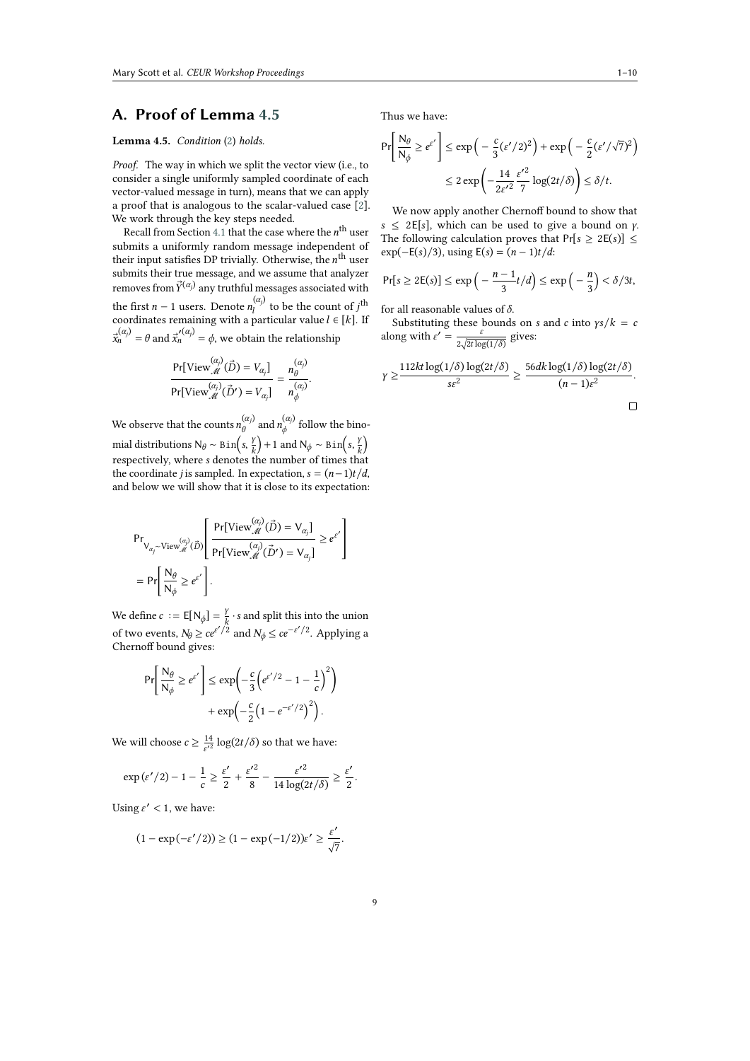## <span id="page-8-0"></span>**A. Proof of Lemma [4.5](#page-4-3)**

#### **Lemma 4.5.** *Condition* ([2](#page-4-2)) *holds.*

*Proof.* The way in which we split the vector view (i.e., to consider a single uniformly sampled coordinate of each vector-valued message in turn), means that we can apply a proof that is analogous to the scalar-valued case [\[2\]](#page-9-1). We work through the key steps needed.

Recall from Section [4.1](#page-2-2) that the case where the  $n^{\rm th}$  user submits a uniformly random message independent of their input satisfies DP trivially. Otherwise, the  $n^{\text{th}}$  user submits their true message, and we assume that analyzer removes from  $\vec{Y}^{(\alpha_j)}$  any truthful messages associated with the first  $n-1$  users. Denote  $n_j^{(\alpha_j)}$  to be the count of j<sup>th</sup> ĺ coordinates remaining with a particular value  $l \in [k]$ . If  $\vec{x}_n^{(\alpha_j)} = \theta$  and  $\vec{x}_n^{\prime(\alpha_j)} = \phi$ , we obtain the relationship

$$
\frac{\Pr[\text{View}^{(\alpha_j)}_{\mathcal{M}}(\vec{D}) = V_{\alpha_j}]}{\Pr[\text{View}^{(\alpha_j)}_{\mathcal{M}}(\vec{D}') = V_{\alpha_j}]} = \frac{n_{\theta}^{(\alpha_j)}}{n_{\phi}^{(\alpha_j)}}
$$

.

We observe that the counts  $n_A^{(\alpha_j)}$  $\overset{(\alpha_j)}{\theta}$  and  $n_{\phi}^{(\alpha_j)}$  $\int_{\phi}^{(\alpha_j)}$  follow the binomial distributions N $_{\theta}$  ∼ Bin $\left( s, \frac{\gamma}{k} \right)$  $\left(\frac{y}{k}\right)$  + 1 and N<sub> $\phi$ </sub> ~ Bin $\left(s, \frac{y}{k}\right)$  $\frac{\gamma}{k}$ respectively, where *s* denotes the number of times that the coordinate *j* is sampled. In expectation,  $s = (n-1)t/d$ , and below we will show that it is close to its expectation:

$$
\begin{aligned} &\text{Pr}_{\text{V}_{\alpha_j} \sim \text{View}^{(\alpha_j)}_{\mathcal{M}}(\vec{D})} \left[ \frac{\text{Pr}[\text{View}^{(\alpha_j)}_{\mathcal{M}}(\vec{D}) = \text{V}_{\alpha_j}]}{\text{Pr}[\text{View}^{(\alpha_j)}_{\mathcal{M}}(\vec{D}') = \text{V}_{\alpha_j}]} \geq e^{\epsilon'} \right] \\ &= \text{Pr} \left[ \frac{\text{N}_{\theta}}{\text{N}_{\phi}} \geq e^{\epsilon'} \right]. \end{aligned}
$$

We define  $c := E[N_\phi] = \frac{Y}{k} \cdot s$  and split this into the union of two events,  $N_{\theta} \ge ce^{\epsilon'/2}$  and  $N_{\phi} \le ce^{-\epsilon'/2}$ . Applying a Chernoff bound gives:

$$
\Pr\left[\frac{N_{\theta}}{N_{\phi}} \ge e^{\varepsilon'}\right] \le \exp\left(-\frac{c}{3}\left(e^{\varepsilon'/2} - 1 - \frac{1}{c}\right)^2\right) + \exp\left(-\frac{c}{2}\left(1 - e^{-\varepsilon'/2}\right)^2\right).
$$

We will choose  $c \geq \frac{14}{\epsilon'^2} \log(2t/\delta)$  so that we have:

$$
\exp(\varepsilon'/2) - 1 - \frac{1}{c} \ge \frac{\varepsilon'}{2} + \frac{{\varepsilon'}^2}{8} - \frac{{\varepsilon'}^2}{14\log(2t/\delta)} \ge \frac{\varepsilon'}{2}.
$$

Using  $\varepsilon' < 1$ , we have:

$$
(1 - \exp(-\varepsilon'/2)) \ge (1 - \exp(-1/2))\varepsilon' \ge \frac{\varepsilon'}{\sqrt{7}}.
$$

Thus we have:

$$
\Pr\left[\frac{N_{\theta}}{N_{\phi}} \ge e^{\varepsilon'}\right] \le \exp\left(-\frac{c}{3}(\varepsilon'/2)^2\right) + \exp\left(-\frac{c}{2}(\varepsilon'/\sqrt{7})^2\right)
$$

$$
\le 2\exp\left(-\frac{14}{2\varepsilon'^2}\frac{\varepsilon'^2}{7}\log(2t/\delta)\right) \le \delta/t.
$$

We now apply another Chernoff bound to show that  $s \leq 2E[s]$ , which can be used to give a bound on  $\gamma$ . The following calculation proves that  $Pr[s \geq 2E(s)] \leq$ exp( $-E(s)/3$ ), using  $E(s) = (n - 1)t/d$ :

$$
\Pr[s \ge 2E(s)] \le \exp\left(-\frac{n-1}{3}t/d\right) \le \exp\left(-\frac{n}{3}\right) < \delta/3t,
$$

for all reasonable values of  $\delta$ .

Substituting these bounds on *s* and *c* into  $\gamma s / k = c$ along with  $\varepsilon' = \frac{\varepsilon}{\sqrt{1 - \varepsilon^2}}$  $rac{\varepsilon}{2\sqrt{2t\log(1/\delta)}}$  gives:

$$
\gamma \ge \frac{112kt \log(1/\delta) \log(2t/\delta)}{s \varepsilon^2} \ge \frac{56dk \log(1/\delta) \log(2t/\delta)}{(n-1)\varepsilon^2}.
$$